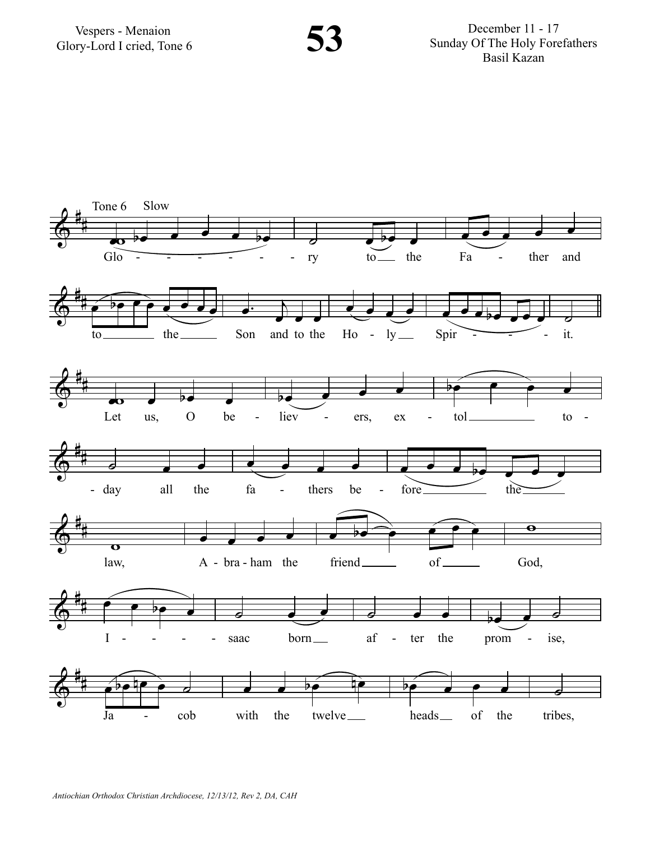